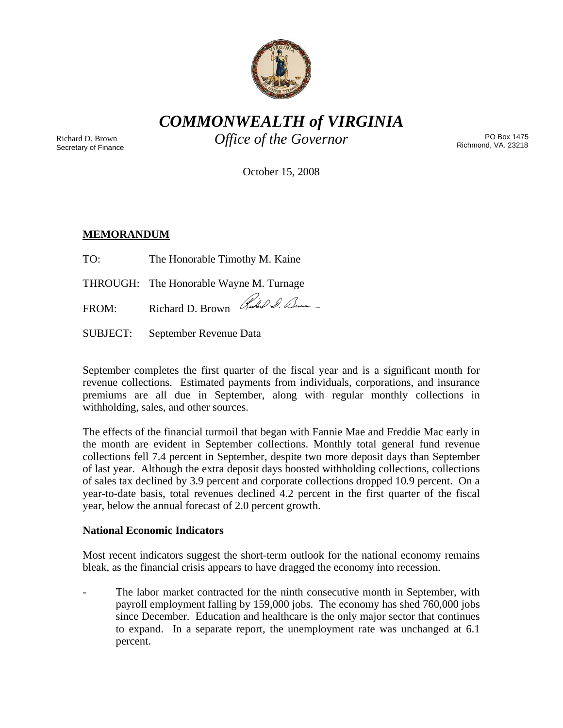

*COMMONWEALTH of VIRGINIA* 

Richard D. Brown Secretary of Finance *Office of the Governor* PO Box 1475

Richmond, VA. 23218

October 15, 2008

# **MEMORANDUM**

| TO: | The Honorable Timothy M. Kaine |  |
|-----|--------------------------------|--|
|     |                                |  |

THROUGH: The Honorable Wayne M. Turnage

FROM: Richard D. Brown Rubel & Denne

SUBJECT: September Revenue Data

September completes the first quarter of the fiscal year and is a significant month for revenue collections. Estimated payments from individuals, corporations, and insurance premiums are all due in September, along with regular monthly collections in withholding, sales, and other sources.

The effects of the financial turmoil that began with Fannie Mae and Freddie Mac early in the month are evident in September collections. Monthly total general fund revenue collections fell 7.4 percent in September, despite two more deposit days than September of last year. Although the extra deposit days boosted withholding collections, collections of sales tax declined by 3.9 percent and corporate collections dropped 10.9 percent. On a year-to-date basis, total revenues declined 4.2 percent in the first quarter of the fiscal year, below the annual forecast of 2.0 percent growth.

## **National Economic Indicators**

Most recent indicators suggest the short-term outlook for the national economy remains bleak, as the financial crisis appears to have dragged the economy into recession.

The labor market contracted for the ninth consecutive month in September, with payroll employment falling by 159,000 jobs. The economy has shed 760,000 jobs since December. Education and healthcare is the only major sector that continues to expand. In a separate report, the unemployment rate was unchanged at 6.1 percent.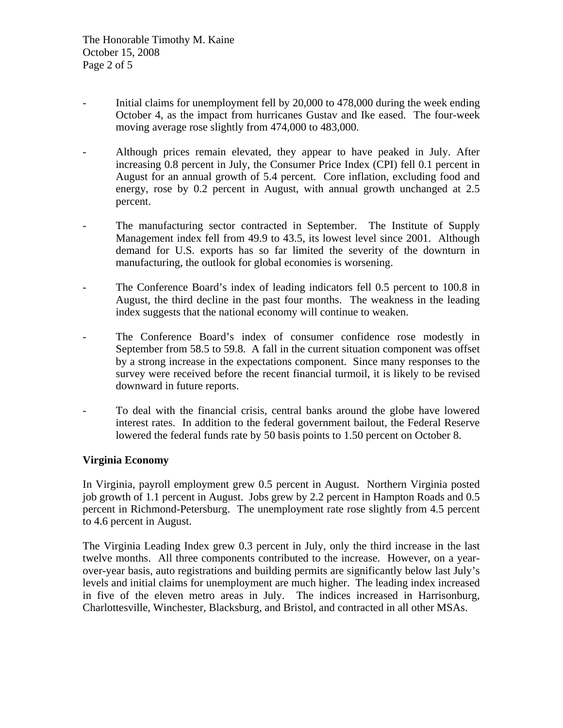The Honorable Timothy M. Kaine October 15, 2008 Page 2 of 5

- Initial claims for unemployment fell by 20,000 to 478,000 during the week ending October 4, as the impact from hurricanes Gustav and Ike eased. The four-week moving average rose slightly from 474,000 to 483,000.
- Although prices remain elevated, they appear to have peaked in July. After increasing 0.8 percent in July, the Consumer Price Index (CPI) fell 0.1 percent in August for an annual growth of 5.4 percent. Core inflation, excluding food and energy, rose by 0.2 percent in August, with annual growth unchanged at 2.5 percent.
- The manufacturing sector contracted in September. The Institute of Supply Management index fell from 49.9 to 43.5, its lowest level since 2001. Although demand for U.S. exports has so far limited the severity of the downturn in manufacturing, the outlook for global economies is worsening.
- The Conference Board's index of leading indicators fell 0.5 percent to 100.8 in August, the third decline in the past four months. The weakness in the leading index suggests that the national economy will continue to weaken.
- The Conference Board's index of consumer confidence rose modestly in September from 58.5 to 59.8. A fall in the current situation component was offset by a strong increase in the expectations component. Since many responses to the survey were received before the recent financial turmoil, it is likely to be revised downward in future reports.
- To deal with the financial crisis, central banks around the globe have lowered interest rates. In addition to the federal government bailout, the Federal Reserve lowered the federal funds rate by 50 basis points to 1.50 percent on October 8.

## **Virginia Economy**

In Virginia, payroll employment grew 0.5 percent in August. Northern Virginia posted job growth of 1.1 percent in August. Jobs grew by 2.2 percent in Hampton Roads and 0.5 percent in Richmond-Petersburg. The unemployment rate rose slightly from 4.5 percent to 4.6 percent in August.

The Virginia Leading Index grew 0.3 percent in July, only the third increase in the last twelve months. All three components contributed to the increase. However, on a yearover-year basis, auto registrations and building permits are significantly below last July's levels and initial claims for unemployment are much higher. The leading index increased in five of the eleven metro areas in July. The indices increased in Harrisonburg, Charlottesville, Winchester, Blacksburg, and Bristol, and contracted in all other MSAs.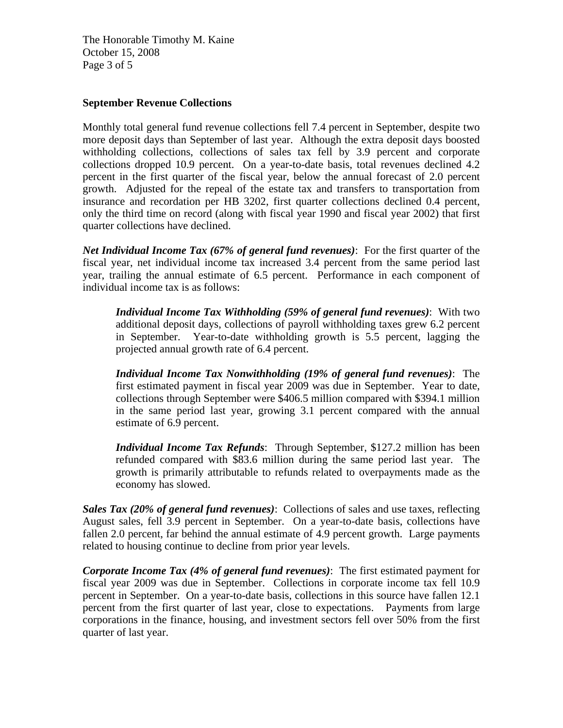The Honorable Timothy M. Kaine October 15, 2008 Page 3 of 5

#### **September Revenue Collections**

Monthly total general fund revenue collections fell 7.4 percent in September, despite two more deposit days than September of last year. Although the extra deposit days boosted withholding collections, collections of sales tax fell by 3.9 percent and corporate collections dropped 10.9 percent. On a year-to-date basis, total revenues declined 4.2 percent in the first quarter of the fiscal year, below the annual forecast of 2.0 percent growth. Adjusted for the repeal of the estate tax and transfers to transportation from insurance and recordation per HB 3202, first quarter collections declined 0.4 percent, only the third time on record (along with fiscal year 1990 and fiscal year 2002) that first quarter collections have declined.

*Net Individual Income Tax (67% of general fund revenues)*: For the first quarter of the fiscal year, net individual income tax increased 3.4 percent from the same period last year, trailing the annual estimate of 6.5 percent. Performance in each component of individual income tax is as follows:

*Individual Income Tax Withholding (59% of general fund revenues)*: With two additional deposit days, collections of payroll withholding taxes grew 6.2 percent in September. Year-to-date withholding growth is 5.5 percent, lagging the projected annual growth rate of 6.4 percent.

*Individual Income Tax Nonwithholding (19% of general fund revenues)*: The first estimated payment in fiscal year 2009 was due in September. Year to date, collections through September were \$406.5 million compared with \$394.1 million in the same period last year, growing 3.1 percent compared with the annual estimate of 6.9 percent.

*Individual Income Tax Refunds*: Through September, \$127.2 million has been refunded compared with \$83.6 million during the same period last year. The growth is primarily attributable to refunds related to overpayments made as the economy has slowed.

*Sales Tax (20% of general fund revenues)*: Collections of sales and use taxes, reflecting August sales, fell 3.9 percent in September. On a year-to-date basis, collections have fallen 2.0 percent, far behind the annual estimate of 4.9 percent growth. Large payments related to housing continue to decline from prior year levels.

*Corporate Income Tax (4% of general fund revenues)*: The first estimated payment for fiscal year 2009 was due in September. Collections in corporate income tax fell 10.9 percent in September. On a year-to-date basis, collections in this source have fallen 12.1 percent from the first quarter of last year, close to expectations. Payments from large corporations in the finance, housing, and investment sectors fell over 50% from the first quarter of last year.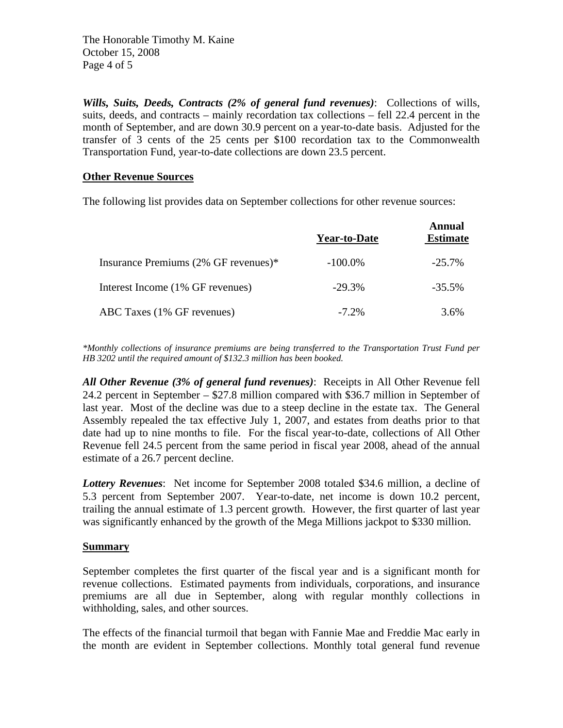The Honorable Timothy M. Kaine October 15, 2008 Page 4 of 5

*Wills, Suits, Deeds, Contracts (2% of general fund revenues)*: Collections of wills, suits, deeds, and contracts – mainly recordation tax collections – fell 22.4 percent in the month of September, and are down 30.9 percent on a year-to-date basis. Adjusted for the transfer of 3 cents of the 25 cents per \$100 recordation tax to the Commonwealth Transportation Fund, year-to-date collections are down 23.5 percent.

## **Other Revenue Sources**

The following list provides data on September collections for other revenue sources:

|                                      | <b>Year-to-Date</b> | <b>Annual</b><br><b>Estimate</b> |
|--------------------------------------|---------------------|----------------------------------|
| Insurance Premiums (2% GF revenues)* | $-100.0\%$          | $-25.7\%$                        |
| Interest Income (1% GF revenues)     | $-29.3%$            | $-35.5%$                         |
| ABC Taxes (1% GF revenues)           | $-7.2\%$            | 3.6%                             |

*\*Monthly collections of insurance premiums are being transferred to the Transportation Trust Fund per HB 3202 until the required amount of \$132.3 million has been booked.* 

*All Other Revenue (3% of general fund revenues)*: Receipts in All Other Revenue fell 24.2 percent in September – \$27.8 million compared with \$36.7 million in September of last year. Most of the decline was due to a steep decline in the estate tax. The General Assembly repealed the tax effective July 1, 2007, and estates from deaths prior to that date had up to nine months to file. For the fiscal year-to-date, collections of All Other Revenue fell 24.5 percent from the same period in fiscal year 2008, ahead of the annual estimate of a 26.7 percent decline.

*Lottery Revenues*: Net income for September 2008 totaled \$34.6 million, a decline of 5.3 percent from September 2007. Year-to-date, net income is down 10.2 percent, trailing the annual estimate of 1.3 percent growth. However, the first quarter of last year was significantly enhanced by the growth of the Mega Millions jackpot to \$330 million.

## **Summary**

September completes the first quarter of the fiscal year and is a significant month for revenue collections. Estimated payments from individuals, corporations, and insurance premiums are all due in September, along with regular monthly collections in withholding, sales, and other sources.

The effects of the financial turmoil that began with Fannie Mae and Freddie Mac early in the month are evident in September collections. Monthly total general fund revenue